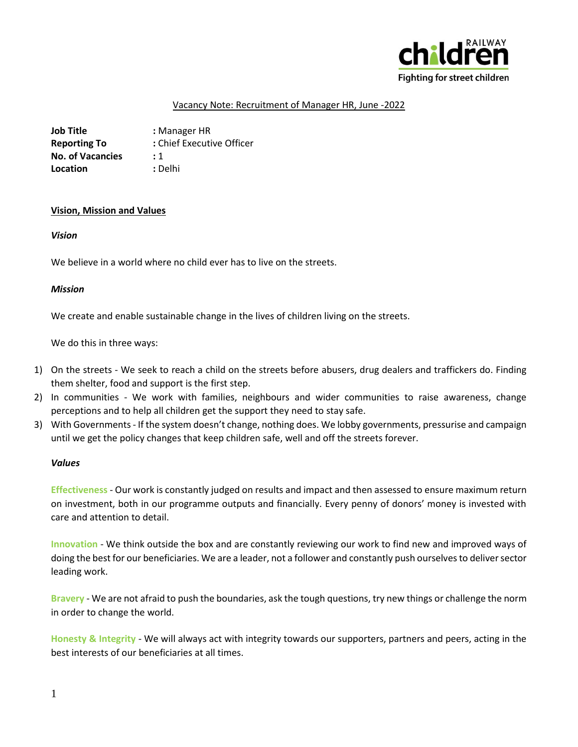

## Vacancy Note: Recruitment of Manager HR, June -2022

**Job Title :** Manager HR **Reporting To :** Chief Executive Officer **No. of Vacancies :** 1 **Location : Delhi** 

#### **Vision, Mission and Values**

#### *Vision*

We believe in a world where no child ever has to live on the streets.

#### *Mission*

We create and enable sustainable change in the lives of children living on the streets.

We do this in three ways:

- 1) On the streets We seek to reach a child on the streets before abusers, drug dealers and traffickers do. Finding them shelter, food and support is the first step.
- 2) In communities We work with families, neighbours and wider communities to raise awareness, change perceptions and to help all children get the support they need to stay safe.
- 3) With Governments If the system doesn't change, nothing does. We lobby governments, pressurise and campaign until we get the policy changes that keep children safe, well and off the streets forever.

#### *Values*

**Effectiveness** - Our work is constantly judged on results and impact and then assessed to ensure maximum return on investment, both in our programme outputs and financially. Every penny of donors' money is invested with care and attention to detail.

**Innovation** - We think outside the box and are constantly reviewing our work to find new and improved ways of doing the best for our beneficiaries. We are a leader, not a follower and constantly push ourselves to deliver sector leading work.

**Bravery** - We are not afraid to push the boundaries, ask the tough questions, try new things or challenge the norm in order to change the world.

**Honesty & Integrity** - We will always act with integrity towards our supporters, partners and peers, acting in the best interests of our beneficiaries at all times.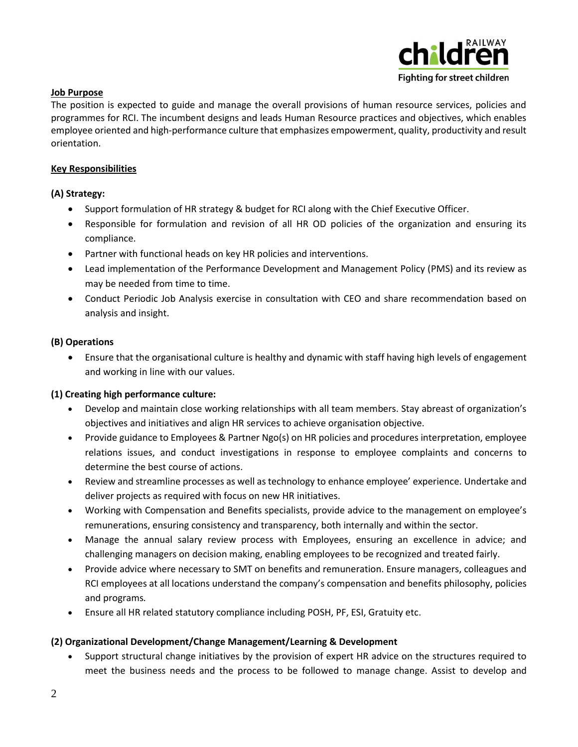

## **Job Purpose**

The position is expected to guide and manage the overall provisions of human resource services, policies and programmes for RCI. The incumbent designs and leads Human Resource practices and objectives, which enables employee oriented and high-performance culture that emphasizes empowerment, quality, productivity and result orientation.

## **Key Responsibilities**

# **(A) Strategy:**

- Support formulation of HR strategy & budget for RCI along with the Chief Executive Officer.
- Responsible for formulation and revision of all HR OD policies of the organization and ensuring its compliance.
- Partner with functional heads on key HR policies and interventions.
- Lead implementation of the Performance Development and Management Policy (PMS) and its review as may be needed from time to time.
- Conduct Periodic Job Analysis exercise in consultation with CEO and share recommendation based on analysis and insight.

## **(B) Operations**

• Ensure that the organisational culture is healthy and dynamic with staff having high levels of engagement and working in line with our values.

## **(1) Creating high performance culture:**

- Develop and maintain close working relationships with all team members. Stay abreast of organization's objectives and initiatives and align HR services to achieve organisation objective.
- Provide guidance to Employees & Partner Ngo(s) on HR policies and procedures interpretation, employee relations issues, and conduct investigations in response to employee complaints and concerns to determine the best course of actions.
- Review and streamline processes as well as technology to enhance employee' experience. Undertake and deliver projects as required with focus on new HR initiatives.
- Working with Compensation and Benefits specialists, provide advice to the management on employee's remunerations, ensuring consistency and transparency, both internally and within the sector.
- Manage the annual salary review process with Employees, ensuring an excellence in advice; and challenging managers on decision making, enabling employees to be recognized and treated fairly.
- Provide advice where necessary to SMT on benefits and remuneration. Ensure managers, colleagues and RCI employees at all locations understand the company's compensation and benefits philosophy, policies and programs*.*
- Ensure all HR related statutory compliance including POSH, PF, ESI, Gratuity etc.

## **(2) Organizational Development/Change Management/Learning & Development**

• Support structural change initiatives by the provision of expert HR advice on the structures required to meet the business needs and the process to be followed to manage change. Assist to develop and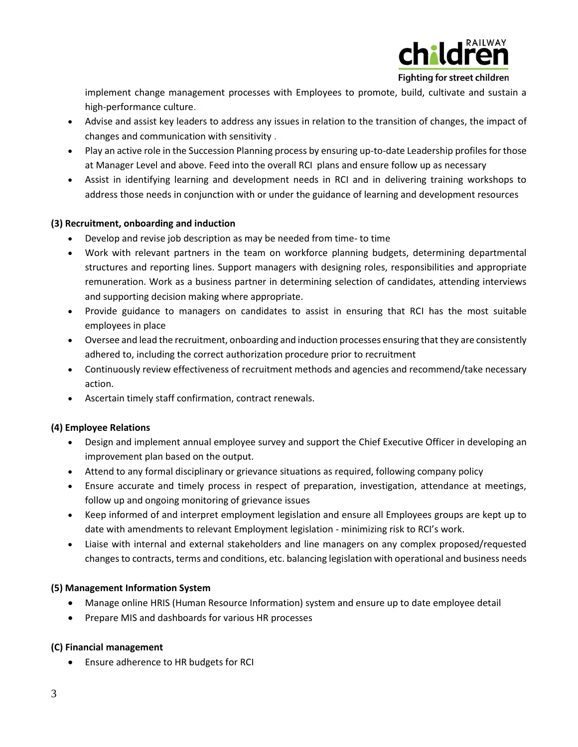

Fighting for street children

implement change management processes with Employees to promote, build, cultivate and sustain a high-performance culture.

- Advise and assist key leaders to address any issues in relation to the transition of changes, the impact of changes and communication with sensitivity .
- Play an active role in the Succession Planning process by ensuring up-to-date Leadership profiles for those at Manager Level and above. Feed into the overall RCI plans and ensure follow up as necessary
- Assist in identifying learning and development needs in RCI and in delivering training workshops to address those needs in conjunction with or under the guidance of learning and development resources

# **(3) Recruitment, onboarding and induction**

- Develop and revise job description as may be needed from time- to time
- Work with relevant partners in the team on workforce planning budgets, determining departmental structures and reporting lines. Support managers with designing roles, responsibilities and appropriate remuneration. Work as a business partner in determining selection of candidates, attending interviews and supporting decision making where appropriate.
- Provide guidance to managers on candidates to assist in ensuring that RCI has the most suitable employees in place
- Oversee and lead the recruitment, onboarding and induction processes ensuring that they are consistently adhered to, including the correct authorization procedure prior to recruitment
- Continuously review effectiveness of recruitment methods and agencies and recommend/take necessary action.
- Ascertain timely staff confirmation, contract renewals.

# **(4) Employee Relations**

- Design and implement annual employee survey and support the Chief Executive Officer in developing an improvement plan based on the output.
- Attend to any formal disciplinary or grievance situations as required, following company policy
- Ensure accurate and timely process in respect of preparation, investigation, attendance at meetings, follow up and ongoing monitoring of grievance issues
- Keep informed of and interpret employment legislation and ensure all Employees groups are kept up to date with amendments to relevant Employment legislation - minimizing risk to RCI's work.
- Liaise with internal and external stakeholders and line managers on any complex proposed/requested changes to contracts, terms and conditions, etc. balancing legislation with operational and business needs

## **(5) Management Information System**

- Manage online HRIS (Human Resource Information) system and ensure up to date employee detail
- Prepare MIS and dashboards for various HR processes

## **(C) Financial management**

• Ensure adherence to HR budgets for RCI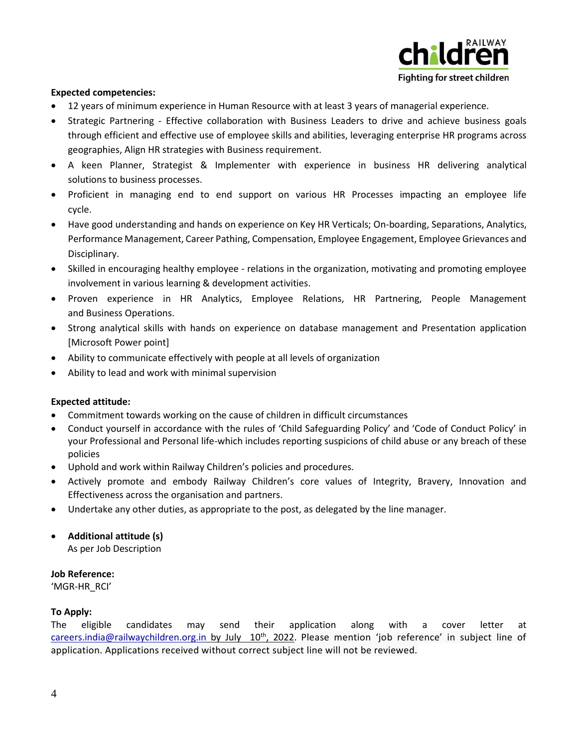

## **Expected competencies:**

- 12 years of minimum experience in Human Resource with at least 3 years of managerial experience.
- Strategic Partnering Effective collaboration with Business Leaders to drive and achieve business goals through efficient and effective use of employee skills and abilities, leveraging enterprise HR programs across geographies, Align HR strategies with Business requirement.
- A keen Planner, Strategist & Implementer with experience in business HR delivering analytical solutions to business processes.
- Proficient in managing end to end support on various HR Processes impacting an employee life cycle.
- Have good understanding and hands on experience on Key HR Verticals; On-boarding, Separations, Analytics, Performance Management, Career Pathing, Compensation, Employee Engagement, Employee Grievances and Disciplinary.
- Skilled in encouraging healthy employee relations in the organization, motivating and promoting employee involvement in various learning & development activities.
- Proven experience in HR Analytics, Employee Relations, HR Partnering, People Management and Business Operations.
- Strong analytical skills with hands on experience on database management and Presentation application [Microsoft Power point]
- Ability to communicate effectively with people at all levels of organization
- Ability to lead and work with minimal supervision

#### **Expected attitude:**

- Commitment towards working on the cause of children in difficult circumstances
- Conduct yourself in accordance with the rules of 'Child Safeguarding Policy' and 'Code of Conduct Policy' in your Professional and Personal life-which includes reporting suspicions of child abuse or any breach of these policies
- Uphold and work within Railway Children's policies and procedures.
- Actively promote and embody Railway Children's core values of Integrity, Bravery, Innovation and Effectiveness across the organisation and partners.
- Undertake any other duties, as appropriate to the post, as delegated by the line manager.
- **Additional attitude (s)** As per Job Description

# **Job Reference:**

'MGR-HR\_RCI'

## **To Apply:**

The eligible candidates may send their application along with a cover letter at [careers.india@railwaychildren.org.in](mailto:careers.india@railwaychildren.org.in) by July 10<sup>th</sup>, 2022. Please mention 'job reference' in subject line of application. Applications received without correct subject line will not be reviewed.